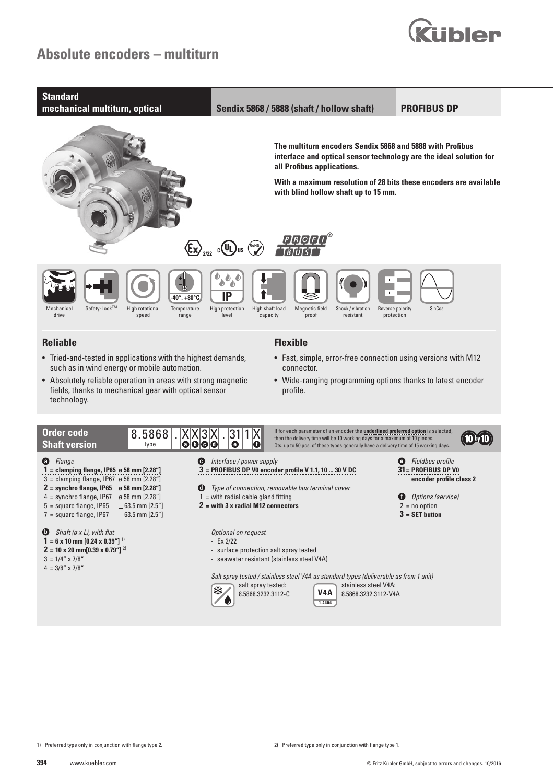# **Absolute encoders – multiturn**



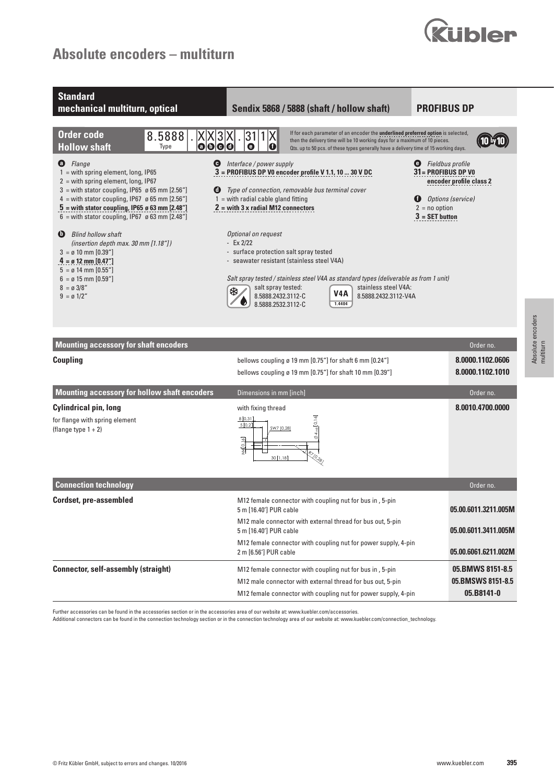# **Absolute encoders – multiturn**





Further accessories can be found in the accessories section or in the accessories area of our website at: www.kuebler.com/accessories.

Additional connectors can be found in the connection technology section or in the connection technology area of our website at: www.kuebler.com/connection\_technology.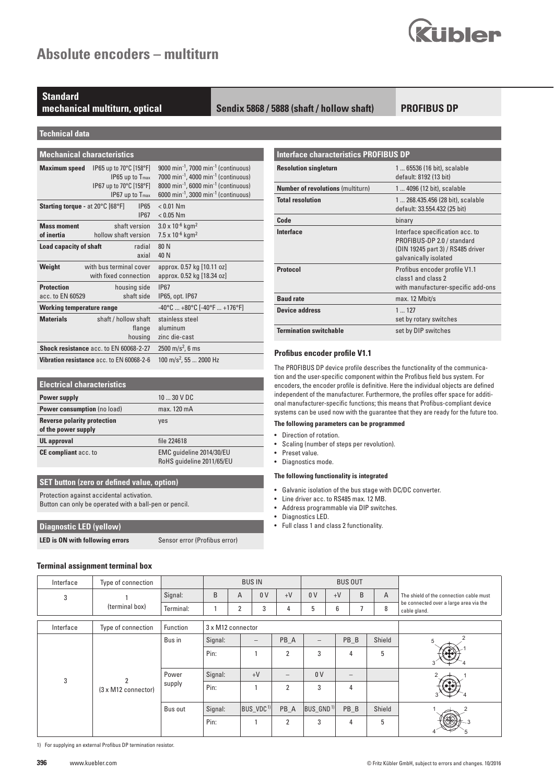

## **Standard**

### **mechanical multiturn, optical Sendix 5868 / 5888 (shaft / hollow shaft)**

### **PROFIBUS DP**

**Technical data**

| <b>Mechanical characteristics</b> |
|-----------------------------------|
|                                   |

| <b>Maximum speed</b>                    | IP65 up to 70°C [158°F]                       | 9000 min <sup>-1</sup> , 7000 min <sup>-1</sup> (continuous)        |
|-----------------------------------------|-----------------------------------------------|---------------------------------------------------------------------|
|                                         | IP65 up to T <sub>max</sub>                   | 7000 min <sup>-1</sup> , 4000 min <sup>-1</sup> (continuous)        |
|                                         | IP67 up to 70°C [158°F]                       | $8000 \text{ min}^{-1}$ , 6000 min <sup>-1</sup> (continuous)       |
|                                         | IP67 up to T <sub>max</sub>                   | 6000 min <sup>-1</sup> , 3000 min <sup>-1</sup> (continuous)        |
| <b>Starting torque - at 20°C [68°F]</b> | <b>IP65</b>                                   | $< 0.01$ Nm                                                         |
|                                         | <b>IP67</b>                                   | $< 0.05$ Nm                                                         |
| <b>Mass moment</b>                      | shaft version                                 | $3.0 \times 10^{-6}$ kgm <sup>2</sup>                               |
| of inertia                              | hollow shaft version                          | 7.5 x 10 $-6$ kgm <sup>2</sup>                                      |
| Load capacity of shaft                  | radial                                        | 80 N                                                                |
|                                         | axial                                         | 40 N                                                                |
| Weight                                  | with bus terminal cover                       | approx. 0.57 kg [10.11 oz]                                          |
|                                         | with fixed connection                         | approx. 0.52 kg [18.34 oz]                                          |
| <b>Protection</b>                       | housing side                                  | <b>IP67</b>                                                         |
| acc. to EN 60529                        | shaft side                                    | IP65, opt. IP67                                                     |
| <b>Working temperature range</b>        |                                               | $-40^{\circ}$ C $+80^{\circ}$ C [ $-40^{\circ}$ F $+176^{\circ}$ F] |
| <b>Materials</b>                        | shaft / hollow shaft                          | stainless steel                                                     |
|                                         | flange                                        | aluminum                                                            |
|                                         | housing                                       | zinc die-cast                                                       |
|                                         | <b>Shock resistance acc. to EN 60068-2-27</b> | $2500 \text{ m/s}^2$ , 6 ms                                         |
|                                         | Vibration resistance acc. to EN 60068-2-6     | 100 m/s <sup>2</sup> , 55  2000 Hz                                  |

| <b>Electrical characteristics</b>                         |                                                       |  |  |  |
|-----------------------------------------------------------|-------------------------------------------------------|--|--|--|
| <b>Power supply</b>                                       | 10  30 V DC                                           |  |  |  |
| <b>Power consumption</b> (no load)                        | max. 120 mA                                           |  |  |  |
| <b>Reverse polarity protection</b><br>of the power supply | yes                                                   |  |  |  |
| <b>UL</b> approval                                        | file 224618                                           |  |  |  |
| <b>CE compliant</b> acc. to                               | EMC quideline 2014/30/EU<br>RoHS quideline 2011/65/EU |  |  |  |

### **SET button (zero or defined value, option)**

Protection against accidental activation.

Button can only be operated with a ball-pen or pencil.

### **Diagnostic LED (yellow)**

**LED is ON with following errors** Sensor error (Profibus error)

| Terminal assignment terminal box |  |
|----------------------------------|--|
|                                  |  |

| <b>Interface characteristics PROFIBUS DP</b> |                                                                                                                             |
|----------------------------------------------|-----------------------------------------------------------------------------------------------------------------------------|
| <b>Resolution singleturn</b>                 | 1  65536 (16 bit), scalable<br>default: 8192 (13 bit)                                                                       |
| <b>Number of revolutions (multiturn)</b>     | 1  4096 (12 bit), scalable                                                                                                  |
| <b>Total resolution</b>                      | 1 268.435.456 (28 bit), scalable<br>default: 33.554.432 (25 bit)                                                            |
| Code                                         | binary                                                                                                                      |
| Interface                                    | Interface specification acc. to<br>PROFIBUS-DP 2.0 / standard<br>(DIN 19245 part 3) / RS485 driver<br>galvanically isolated |
| <b>Protocol</b>                              | Profibus encoder profile V1.1<br>class1 and class 2<br>with manufacturer-specific add-ons                                   |
| <b>Baud rate</b>                             | max. 12 Mbit/s                                                                                                              |
| <b>Device address</b>                        | 1127<br>set by rotary switches                                                                                              |
| <b>Termination switchable</b>                | set by DIP switches                                                                                                         |

### **Profibus encoder profile V1.1**

The PROFIBUS DP device profile describes the functionality of the communication and the user-specific component within the Profibus field bus system. For encoders, the encoder profile is definitive. Here the individual objects are defined independent of the manufacturer. Furthermore, the profiles offer space for additional manufacturer-specific functions; this means that Profibus-compliant device systems can be used now with the guarantee that they are ready for the future too.

#### **The following parameters can be programmed**

- Direction of rotation.
- Scaling (number of steps per revolution).
- Preset value.
- Diagnostics mode.

### **The following functionality is integrated**

- Galvanic isolation of the bus stage with DC/DC converter.
- Line driver acc. to RS485 max. 12 MB.<br>• Address programmable via DIP switch
- Address programmable via DIP switches.
- Diagnostics LED.<br>• Full class 1 and c
- Full class 1 and class 2 functionality.

| Interface | Type of connection                 |           |                   | <b>BUS IN</b>  |                |                   |                       |      | <b>BUS OUT</b>  |        |                                                        |
|-----------|------------------------------------|-----------|-------------------|----------------|----------------|-------------------|-----------------------|------|-----------------|--------|--------------------------------------------------------|
| 3         |                                    | Signal:   | B                 | A              | 0 <sub>V</sub> | $+V$              | 0 <sub>V</sub>        | $+V$ | B               | A      | The shield of the connection cable must                |
|           | (terminal box)                     | Terminal: |                   | $\overline{2}$ | 3              | 4                 | 5                     | 6    | 7               | 8      | be connected over a large area via the<br>cable gland. |
|           |                                    |           |                   |                |                |                   |                       |      |                 |        |                                                        |
| Interface | Type of connection                 | Function  | 3 x M12 connector |                |                |                   |                       |      |                 |        |                                                        |
|           |                                    | Bus in    | Signal:           |                | —              | PB A              | $\qquad \qquad -$     |      | PB B            | Shield | 5                                                      |
|           |                                    |           | Pin:              |                |                | $\overline{2}$    | 3                     |      | 4               | 5      |                                                        |
|           |                                    |           |                   |                |                |                   |                       |      |                 |        |                                                        |
| 3         | $\overline{2}$                     | Power     | Signal:           | $+V$           |                | $\qquad \qquad -$ | 0 <sub>V</sub>        |      | $\qquad \qquad$ |        |                                                        |
|           | $(3 \times M12 \text{ connector})$ | supply    | Pin:              |                |                | $\overline{2}$    | 3                     |      | 4               |        |                                                        |
|           |                                    | Bus out   | Signal:           | $ BUS_VDC^1 $  |                | PB A              | BUS_GND <sup>1)</sup> |      | PB B            | Shield |                                                        |
|           |                                    |           | Pin:              |                |                | $\overline{2}$    | 3                     |      | 4               | 5      |                                                        |

1) For supplying an external Profibus DP termination resistor.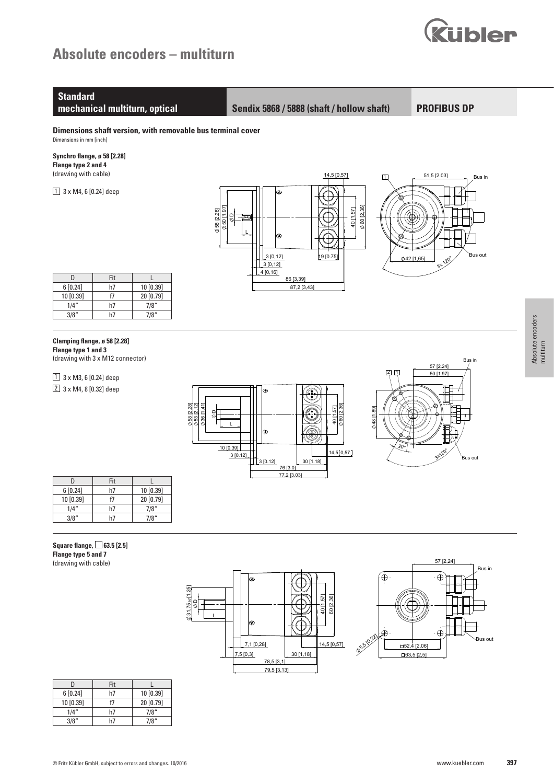# **Absolute encoders – multiturn**



# **Standard**

**mechanical multiturn, optical Sendix 5868 / 5888 (shaft / hollow shaft)**

**PROFIBUS DP** 

**Dimensions shaft version, with removable bus terminal cover** Dimensions in mm [inch]

### **Synchro flange, ø 58 [2.28] Flange type 2 and 4**  (drawing with cable)

 $1$  3 x M4, 6 [0.24] deep



1 2 3 4 5 6 7 8

|           | Fit |           |
|-----------|-----|-----------|
| 6[0.24]   | h7  | 10 [0.39] |
| 10 [0.39] |     | 20 [0.79] |
| 1/4"      | h7  | 7/8''     |
| 3/8''     | h/  | 7/8''     |

### **Clamping flange, ø 58 [2.28]**

 $1$  3 x M3, 6 [0.24] deep 2 3 x M4, 8 [0.32] deep

**Flange type 1 and 3**  (drawing with 3 x M12 connector)

|                                                                     | ¢           |                    |
|---------------------------------------------------------------------|-------------|--------------------|
|                                                                     |             |                    |
| 28]<br>[2.12]<br>$\frac{4}{1}$<br>⊴<br>Ξ<br>$\frac{\Theta}{\Theta}$ |             | 40 [1.57]          |
| $\varphi$ 58<br>$\varphi$ 53<br>$\varphi$ 36                        |             | $\phi$ 60 $[2.36]$ |
|                                                                     | ۱Θ          |                    |
|                                                                     |             |                    |
| 10 [0.39]                                                           |             | 14,5 [0,57]        |
| 3[0.12]                                                             |             |                    |
|                                                                     | 3[0.12]     | 30 [1.18]          |
|                                                                     | 76 [3.0]    |                    |
|                                                                     | 77,2 [3.03] |                    |



|           | Fit |           |
|-----------|-----|-----------|
| 6[0.24]   | h7  | 10[0.39]  |
| 10 [0.39] | f7  | 20 [0.79] |
| 1/4"      | h7  | 7/8"      |
|           | h7  | 7/8''     |

### $Square \, flag$ e,  $\Box$  63.5 [2.5] **Flange type 5 and 7** (drawing with cable)

 $31,75$   $\frac{n}{1}$  $(1,25)$ 40 [1,57] 14 C  $\overline{\phantom{a}}$  $\begin{array}{|c|c|}\n\hline\n & 40 \text{ 11,57} \\
\hline\n & 60 \text{ [2,36]} \\
\hline\n\end{array}$ <br>
14,5 [0,57]  $\overline{a}$ 1 2 3 19 - 그 그 그 그 그 그 그 그 4 4 L ⊛ 7,1 [0,28] 7,1 [0,28] 30 [1,18] 7,5 [0,3] 78,5 [3,1] 78,5 [3,1] 79,5 [3,13] 79,5 [3,13]

1 6 h7

1 6h7



|           | Fit |           |
|-----------|-----|-----------|
| 6[0.24]   | h7  | 10 [0.39] |
| 10 [0.39] | f7  | 20 [0.79] |
| 1/4"      | h7  | 7/8"      |
| 3/8''     | ьī  | 1/8"      |